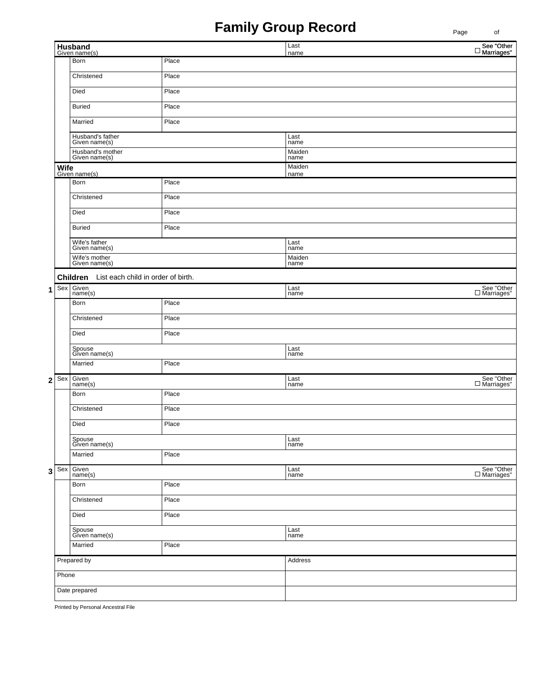## **Family Group Record**

| name<br>Born<br>Place<br>Christened<br>Place<br>Died<br>Place<br><b>Buried</b><br>Place<br>Married<br>Place<br>Husband's father<br>Given name(s)<br>Last<br>name<br>Husband's mother<br>Given name(s)<br>Maiden<br>name<br>Maiden<br>Wife<br>Given name(s)<br>name<br>Place<br>Born<br>Christened<br>Place<br>Died<br>Place<br><b>Buried</b><br>Place<br>Wife's father<br>Given name(s)<br>Last<br>name<br>Wife's mother<br>Maiden<br>Given name(s)<br>name<br>List each child in order of birth.<br>Children<br>Given<br>Sex<br>Last<br>1<br>name(s)<br>name<br>Place<br>Born<br>Christened<br>Place<br>Died<br>Place<br>Spouse<br>Given name(s)<br>Last<br>name<br>Place<br>Married<br>Sex<br>Given<br>  name(s)<br>Last<br>$\mathbf{2}$<br>name<br>Place<br>Born<br>Christened<br>Place<br>Died<br>Place<br>Spouse<br>Given name(s)<br>Last<br>name<br>Place<br>Married<br>Given<br>name(s)<br>Last<br>name<br>Sex<br>3 |  | Husband<br>Given name(s) |       | Last | $\Box$ See "Other<br>Marriages"        |
|----------------------------------------------------------------------------------------------------------------------------------------------------------------------------------------------------------------------------------------------------------------------------------------------------------------------------------------------------------------------------------------------------------------------------------------------------------------------------------------------------------------------------------------------------------------------------------------------------------------------------------------------------------------------------------------------------------------------------------------------------------------------------------------------------------------------------------------------------------------------------------------------------------------------------|--|--------------------------|-------|------|----------------------------------------|
|                                                                                                                                                                                                                                                                                                                                                                                                                                                                                                                                                                                                                                                                                                                                                                                                                                                                                                                            |  |                          |       |      |                                        |
|                                                                                                                                                                                                                                                                                                                                                                                                                                                                                                                                                                                                                                                                                                                                                                                                                                                                                                                            |  |                          |       |      |                                        |
|                                                                                                                                                                                                                                                                                                                                                                                                                                                                                                                                                                                                                                                                                                                                                                                                                                                                                                                            |  |                          |       |      |                                        |
|                                                                                                                                                                                                                                                                                                                                                                                                                                                                                                                                                                                                                                                                                                                                                                                                                                                                                                                            |  |                          |       |      |                                        |
|                                                                                                                                                                                                                                                                                                                                                                                                                                                                                                                                                                                                                                                                                                                                                                                                                                                                                                                            |  |                          |       |      |                                        |
|                                                                                                                                                                                                                                                                                                                                                                                                                                                                                                                                                                                                                                                                                                                                                                                                                                                                                                                            |  |                          |       |      |                                        |
|                                                                                                                                                                                                                                                                                                                                                                                                                                                                                                                                                                                                                                                                                                                                                                                                                                                                                                                            |  |                          |       |      |                                        |
|                                                                                                                                                                                                                                                                                                                                                                                                                                                                                                                                                                                                                                                                                                                                                                                                                                                                                                                            |  |                          |       |      |                                        |
|                                                                                                                                                                                                                                                                                                                                                                                                                                                                                                                                                                                                                                                                                                                                                                                                                                                                                                                            |  |                          |       |      |                                        |
|                                                                                                                                                                                                                                                                                                                                                                                                                                                                                                                                                                                                                                                                                                                                                                                                                                                                                                                            |  |                          |       |      |                                        |
|                                                                                                                                                                                                                                                                                                                                                                                                                                                                                                                                                                                                                                                                                                                                                                                                                                                                                                                            |  |                          |       |      |                                        |
|                                                                                                                                                                                                                                                                                                                                                                                                                                                                                                                                                                                                                                                                                                                                                                                                                                                                                                                            |  |                          |       |      |                                        |
|                                                                                                                                                                                                                                                                                                                                                                                                                                                                                                                                                                                                                                                                                                                                                                                                                                                                                                                            |  |                          |       |      |                                        |
|                                                                                                                                                                                                                                                                                                                                                                                                                                                                                                                                                                                                                                                                                                                                                                                                                                                                                                                            |  |                          |       |      |                                        |
|                                                                                                                                                                                                                                                                                                                                                                                                                                                                                                                                                                                                                                                                                                                                                                                                                                                                                                                            |  |                          |       |      |                                        |
|                                                                                                                                                                                                                                                                                                                                                                                                                                                                                                                                                                                                                                                                                                                                                                                                                                                                                                                            |  |                          |       |      |                                        |
|                                                                                                                                                                                                                                                                                                                                                                                                                                                                                                                                                                                                                                                                                                                                                                                                                                                                                                                            |  |                          |       |      | $\Box$ See "Other $\Box$ Marriages"    |
|                                                                                                                                                                                                                                                                                                                                                                                                                                                                                                                                                                                                                                                                                                                                                                                                                                                                                                                            |  |                          |       |      |                                        |
|                                                                                                                                                                                                                                                                                                                                                                                                                                                                                                                                                                                                                                                                                                                                                                                                                                                                                                                            |  |                          |       |      |                                        |
|                                                                                                                                                                                                                                                                                                                                                                                                                                                                                                                                                                                                                                                                                                                                                                                                                                                                                                                            |  |                          |       |      |                                        |
|                                                                                                                                                                                                                                                                                                                                                                                                                                                                                                                                                                                                                                                                                                                                                                                                                                                                                                                            |  |                          |       |      |                                        |
|                                                                                                                                                                                                                                                                                                                                                                                                                                                                                                                                                                                                                                                                                                                                                                                                                                                                                                                            |  |                          |       |      |                                        |
|                                                                                                                                                                                                                                                                                                                                                                                                                                                                                                                                                                                                                                                                                                                                                                                                                                                                                                                            |  |                          |       |      | $\Box$ See "Other<br>$\Box$ Marriages" |
|                                                                                                                                                                                                                                                                                                                                                                                                                                                                                                                                                                                                                                                                                                                                                                                                                                                                                                                            |  |                          |       |      |                                        |
|                                                                                                                                                                                                                                                                                                                                                                                                                                                                                                                                                                                                                                                                                                                                                                                                                                                                                                                            |  |                          |       |      |                                        |
|                                                                                                                                                                                                                                                                                                                                                                                                                                                                                                                                                                                                                                                                                                                                                                                                                                                                                                                            |  |                          |       |      |                                        |
|                                                                                                                                                                                                                                                                                                                                                                                                                                                                                                                                                                                                                                                                                                                                                                                                                                                                                                                            |  |                          |       |      |                                        |
|                                                                                                                                                                                                                                                                                                                                                                                                                                                                                                                                                                                                                                                                                                                                                                                                                                                                                                                            |  |                          |       |      |                                        |
|                                                                                                                                                                                                                                                                                                                                                                                                                                                                                                                                                                                                                                                                                                                                                                                                                                                                                                                            |  |                          |       |      |                                        |
|                                                                                                                                                                                                                                                                                                                                                                                                                                                                                                                                                                                                                                                                                                                                                                                                                                                                                                                            |  |                          |       |      | $\Box$ See "Other<br>$\Box$ Marriages" |
|                                                                                                                                                                                                                                                                                                                                                                                                                                                                                                                                                                                                                                                                                                                                                                                                                                                                                                                            |  | Born                     | Place |      |                                        |
| Christened<br>Place                                                                                                                                                                                                                                                                                                                                                                                                                                                                                                                                                                                                                                                                                                                                                                                                                                                                                                        |  |                          |       |      |                                        |
| Died<br>Place                                                                                                                                                                                                                                                                                                                                                                                                                                                                                                                                                                                                                                                                                                                                                                                                                                                                                                              |  |                          |       |      |                                        |
| Spouse<br>Given name(s)<br>Last<br>name                                                                                                                                                                                                                                                                                                                                                                                                                                                                                                                                                                                                                                                                                                                                                                                                                                                                                    |  |                          |       |      |                                        |
| Married<br>Place                                                                                                                                                                                                                                                                                                                                                                                                                                                                                                                                                                                                                                                                                                                                                                                                                                                                                                           |  |                          |       |      |                                        |
| Prepared by<br>Address                                                                                                                                                                                                                                                                                                                                                                                                                                                                                                                                                                                                                                                                                                                                                                                                                                                                                                     |  |                          |       |      |                                        |
| Phone                                                                                                                                                                                                                                                                                                                                                                                                                                                                                                                                                                                                                                                                                                                                                                                                                                                                                                                      |  |                          |       |      |                                        |
| Date prepared                                                                                                                                                                                                                                                                                                                                                                                                                                                                                                                                                                                                                                                                                                                                                                                                                                                                                                              |  |                          |       |      |                                        |

Printed by Personal Ancestral File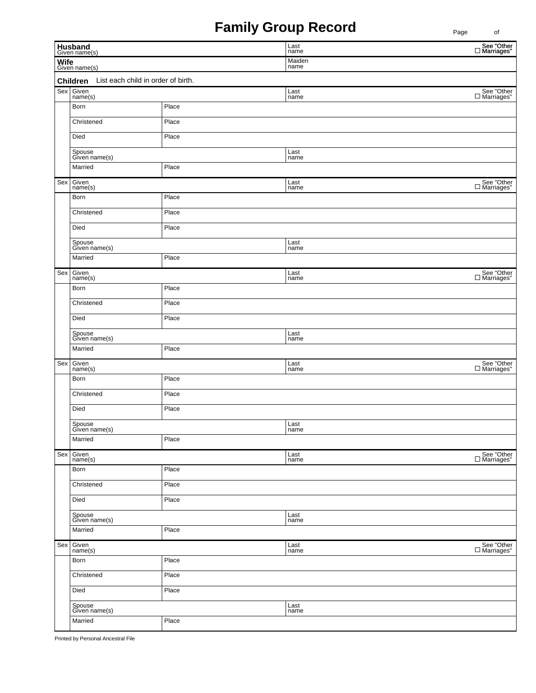## **Family Group Record**

| Husband<br>Given name(s) |                                                               |       | Last<br>name | ັ<br>See "Other<br>□ Marriages"        |  |  |  |  |
|--------------------------|---------------------------------------------------------------|-------|--------------|----------------------------------------|--|--|--|--|
| Wife<br>Given name(s)    |                                                               |       | Maiden       |                                        |  |  |  |  |
|                          | name<br>List each child in order of birth.<br><b>Children</b> |       |              |                                        |  |  |  |  |
| Sex                      | Given<br>name(s)                                              |       | Last<br>name | See "Other $\square$ Marriages"        |  |  |  |  |
|                          | Born                                                          | Place |              |                                        |  |  |  |  |
|                          | Christened                                                    | Place |              |                                        |  |  |  |  |
|                          | Died                                                          | Place |              |                                        |  |  |  |  |
|                          | Spouse<br>Given name(s)                                       |       | Last<br>name |                                        |  |  |  |  |
|                          | Married                                                       | Place |              |                                        |  |  |  |  |
| Sex                      | Given<br>name(s)                                              |       | Last<br>name |                                        |  |  |  |  |
|                          | Born                                                          | Place |              |                                        |  |  |  |  |
|                          | Christened                                                    | Place |              |                                        |  |  |  |  |
|                          | Died                                                          | Place |              |                                        |  |  |  |  |
|                          | Spouse<br>Given name(s)                                       |       | Last<br>name |                                        |  |  |  |  |
|                          | Married                                                       | Place |              |                                        |  |  |  |  |
| Sex                      | Given<br>name(s)                                              |       | Last<br>name | $\Box$ See "Other<br>$\Box$ Marriages" |  |  |  |  |
|                          | Born                                                          | Place |              |                                        |  |  |  |  |
|                          | Christened                                                    | Place |              |                                        |  |  |  |  |
|                          | Died                                                          | Place |              |                                        |  |  |  |  |
|                          | Spouse<br>Given name(s)                                       |       | Last<br>name |                                        |  |  |  |  |
|                          | Married                                                       | Place |              |                                        |  |  |  |  |
| Sex                      | Given<br>name(s)                                              |       | Last<br>name |                                        |  |  |  |  |
|                          | Born                                                          | Place |              |                                        |  |  |  |  |
|                          | Christened                                                    | Place |              |                                        |  |  |  |  |
|                          | Died                                                          | Place |              |                                        |  |  |  |  |
|                          | Spouse<br>Given name(s)                                       |       | Last<br>name |                                        |  |  |  |  |
|                          | Married                                                       | Place |              |                                        |  |  |  |  |
| Sex                      | Given<br>name(s)                                              |       | Last<br>name |                                        |  |  |  |  |
|                          | Born                                                          | Place |              |                                        |  |  |  |  |
|                          | Christened                                                    | Place |              |                                        |  |  |  |  |
|                          | Died                                                          | Place |              |                                        |  |  |  |  |
|                          | Spouse<br>Given name(s)                                       |       | Last<br>name |                                        |  |  |  |  |
|                          | Married                                                       | Place |              |                                        |  |  |  |  |
| Sex                      | Given<br>name(s)                                              |       | Last<br>name |                                        |  |  |  |  |
|                          | Born                                                          | Place |              |                                        |  |  |  |  |
|                          | Christened                                                    | Place |              |                                        |  |  |  |  |
|                          | Died<br>Place                                                 |       |              |                                        |  |  |  |  |
|                          | Spouse<br>Given name(s)                                       |       | Last<br>name |                                        |  |  |  |  |
|                          | Married                                                       | Place |              |                                        |  |  |  |  |

Printed by Personal Ancestral File